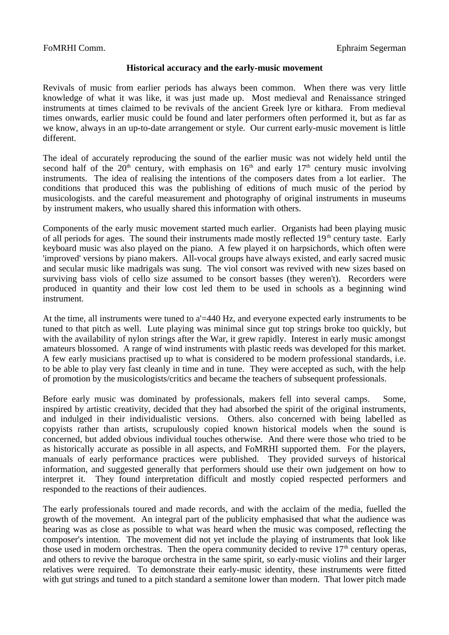## **Historical accuracy and the early-music movement**

Revivals of music from earlier periods has always been common. When there was very little knowledge of what it was like, it was just made up. Most medieval and Renaissance stringed instruments at times claimed to be revivals of the ancient Greek lyre or kithara. From medieval times onwards, earlier music could be found and later performers often performed it, but as far as we know, always in an up-to-date arrangement or style. Our current early-music movement is little different.

The ideal of accurately reproducing the sound of the earlier music was not widely held until the second half of the 20<sup>th</sup> century, with emphasis on  $16<sup>th</sup>$  and early  $17<sup>th</sup>$  century music involving instruments. The idea of realising the intentions of the composers dates from a lot earlier. The conditions that produced this was the publishing of editions of much music of the period by musicologists. and the careful measurement and photography of original instruments in museums by instrument makers, who usually shared this information with others.

Components of the early music movement started much earlier. Organists had been playing music of all periods for ages. The sound their instruments made mostly reflected  $19<sup>th</sup>$  century taste. Early keyboard music was also played on the piano. A few played it on harpsichords, which often were 'improved' versions by piano makers. All-vocal groups have always existed, and early sacred music and secular music like madrigals was sung. The viol consort was revived with new sizes based on surviving bass viols of cello size assumed to be consort basses (they weren't). Recorders were produced in quantity and their low cost led them to be used in schools as a beginning wind instrument.

At the time, all instruments were tuned to a'=440 Hz, and everyone expected early instruments to be tuned to that pitch as well. Lute playing was minimal since gut top strings broke too quickly, but with the availability of nylon strings after the War, it grew rapidly. Interest in early music amongst amateurs blossomed. A range of wind instruments with plastic reeds was developed for this market. A few early musicians practised up to what is considered to be modern professional standards, i.e. to be able to play very fast cleanly in time and in tune. They were accepted as such, with the help of promotion by the musicologists/critics and became the teachers of subsequent professionals.

Before early music was dominated by professionals, makers fell into several camps. Some, inspired by artistic creativity, decided that they had absorbed the spirit of the original instruments, and indulged in their individualistic versions. Others. also concerned with being labelled as copyists rather than artists, scrupulously copied known historical models when the sound is concerned, but added obvious individual touches otherwise. And there were those who tried to be as historically accurate as possible in all aspects, and FoMRHI supported them. For the players, manuals of early performance practices were published. They provided surveys of historical information, and suggested generally that performers should use their own judgement on how to interpret it. They found interpretation difficult and mostly copied respected performers and responded to the reactions of their audiences.

The early professionals toured and made records, and with the acclaim of the media, fuelled the growth of the movement. An integral part of the publicity emphasised that what the audience was hearing was as close as possible to what was heard when the music was composed, reflecting the composer's intention. The movement did not yet include the playing of instruments that look like those used in modern orchestras. Then the opera community decided to revive  $17<sup>th</sup>$  century operas, and others to revive the baroque orchestra in the same spirit, so early-music violins and their larger relatives were required. To demonstrate their early-music identity, these instruments were fitted with gut strings and tuned to a pitch standard a semitone lower than modern. That lower pitch made